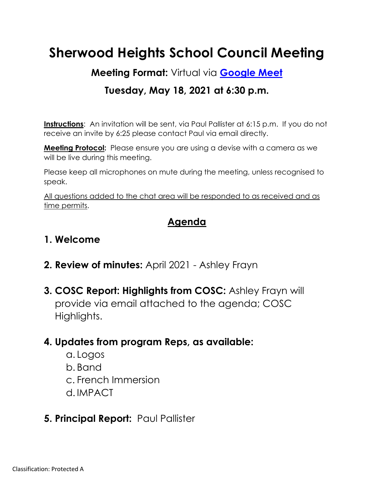# **Sherwood Heights School Council Meeting**

**Meeting Format:** Virtual via **[Google Meet](https://meet.google.com/)**

## **Tuesday, May 18, 2021 at 6:30 p.m.**

**Instructions:** An invitation will be sent, via Paul Pallister at 6:15 p.m. If you do not receive an invite by 6:25 please contact Paul via email directly.

**Meeting Protocol:** Please ensure you are using a devise with a camera as we will be live during this meeting.

Please keep all microphones on mute during the meeting, unless recognised to speak.

All questions added to the chat area will be responded to as received and as time permits.

# **Agenda**

#### **1. Welcome**

- **2. Review of minutes:** April 2021 Ashley Frayn
- **3. COSC Report: Highlights from COSC:** Ashley Frayn will provide via email attached to the agenda; COSC Highlights.

#### **4. Updates from program Reps, as available:**

a. Logos b. Band c. French Immersion d. IMPACT

# **5. Principal Report:** Paul Pallister